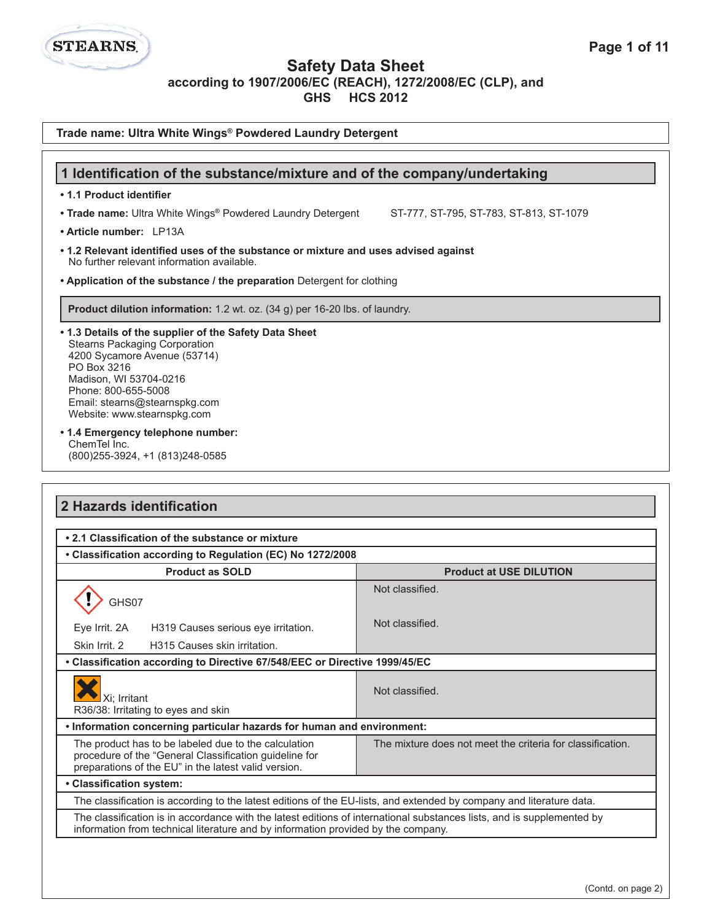**Safety Data Sheet**

**according to 1907/2006/EC (REACH), 1272/2008/EC (CLP), and**

**GHS HCS 2012**

**Trade name: Ultra White Wings® Powdered Laundry Detergent**

**STEARNS** 

| 1 Identification of the substance/mixture and of the company/undertaking                                                                                                                                                                                       |                                                            |  |  |
|----------------------------------------------------------------------------------------------------------------------------------------------------------------------------------------------------------------------------------------------------------------|------------------------------------------------------------|--|--|
| • 1.1 Product identifier                                                                                                                                                                                                                                       |                                                            |  |  |
| • Trade name: Ultra White Wings® Powdered Laundry Detergent                                                                                                                                                                                                    | ST-777, ST-795, ST-783, ST-813, ST-1079                    |  |  |
| • Article number: LP13A                                                                                                                                                                                                                                        |                                                            |  |  |
| • 1.2 Relevant identified uses of the substance or mixture and uses advised against<br>No further relevant information available.                                                                                                                              |                                                            |  |  |
| • Application of the substance / the preparation Detergent for clothing                                                                                                                                                                                        |                                                            |  |  |
| Product dilution information: 1.2 wt. oz. (34 g) per 16-20 lbs. of laundry.                                                                                                                                                                                    |                                                            |  |  |
| . 1.3 Details of the supplier of the Safety Data Sheet<br><b>Stearns Packaging Corporation</b><br>4200 Sycamore Avenue (53714)<br>PO Box 3216<br>Madison, WI 53704-0216<br>Phone: 800-655-5008<br>Email: stearns@stearnspkg.com<br>Website: www.stearnspkg.com |                                                            |  |  |
| ChemTel Inc.<br>(800) 255-3924, +1 (813) 248-0585                                                                                                                                                                                                              | • 1.4 Emergency telephone number:                          |  |  |
|                                                                                                                                                                                                                                                                |                                                            |  |  |
| 2 Hazards identification<br>• 2.1 Classification of the substance or mixture                                                                                                                                                                                   |                                                            |  |  |
| • Classification according to Regulation (EC) No 1272/2008                                                                                                                                                                                                     |                                                            |  |  |
| <b>Product as SOLD</b><br>GHS07                                                                                                                                                                                                                                | <b>Product at USE DILUTION</b><br>Not classified.          |  |  |
| Eye Irrit. 2A<br>H319 Causes serious eye irritation.<br>Skin Irrit. 2<br>H315 Causes skin irritation.                                                                                                                                                          | Not classified.                                            |  |  |
| • Classification according to Directive 67/548/EEC or Directive 1999/45/EC                                                                                                                                                                                     |                                                            |  |  |
| Xi; Irritant<br>R36/38: Irritating to eyes and skin                                                                                                                                                                                                            | Not classified.                                            |  |  |
| . Information concerning particular hazards for human and environment:                                                                                                                                                                                         |                                                            |  |  |
| The product has to be labeled due to the calculation<br>procedure of the "General Classification guideline for<br>preparations of the EU" in the latest valid version.                                                                                         | The mixture does not meet the criteria for classification. |  |  |
|                                                                                                                                                                                                                                                                |                                                            |  |  |
| • Classification system:<br>The classification is according to the latest editions of the EU-lists, and extended by company and literature data.                                                                                                               |                                                            |  |  |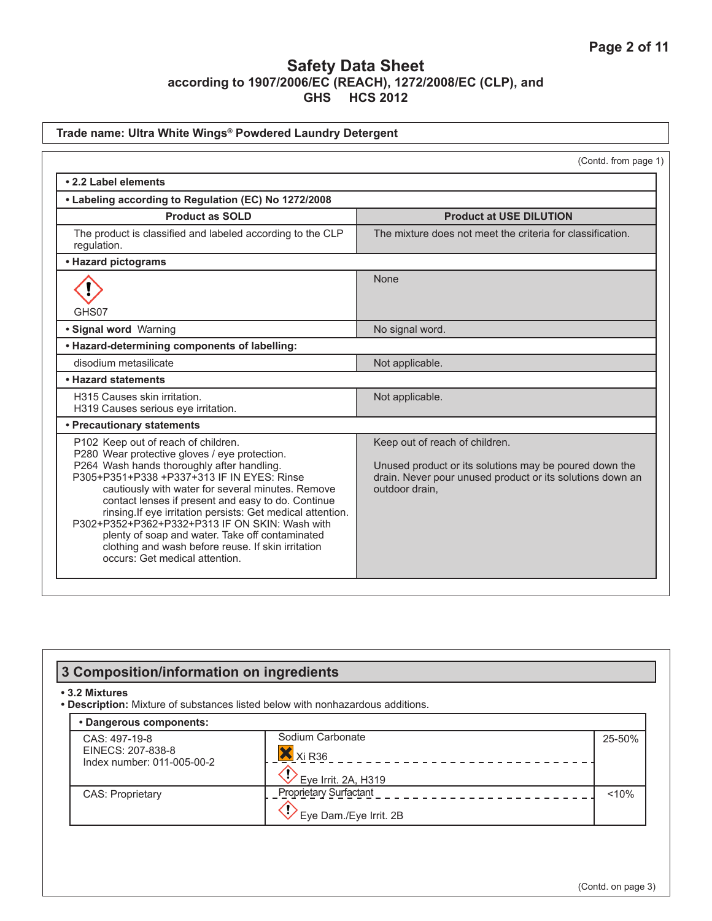|                                                                                                                                                                                                                                                                                                                                                                                                                                                                                                                                                         | (Contd. from page 1)                                                                                                                                                    |
|---------------------------------------------------------------------------------------------------------------------------------------------------------------------------------------------------------------------------------------------------------------------------------------------------------------------------------------------------------------------------------------------------------------------------------------------------------------------------------------------------------------------------------------------------------|-------------------------------------------------------------------------------------------------------------------------------------------------------------------------|
| • 2.2 Label elements                                                                                                                                                                                                                                                                                                                                                                                                                                                                                                                                    |                                                                                                                                                                         |
| • Labeling according to Regulation (EC) No 1272/2008                                                                                                                                                                                                                                                                                                                                                                                                                                                                                                    |                                                                                                                                                                         |
| <b>Product as SOLD</b>                                                                                                                                                                                                                                                                                                                                                                                                                                                                                                                                  | <b>Product at USE DILUTION</b>                                                                                                                                          |
| The product is classified and labeled according to the CLP<br>regulation.                                                                                                                                                                                                                                                                                                                                                                                                                                                                               | The mixture does not meet the criteria for classification.                                                                                                              |
| • Hazard pictograms                                                                                                                                                                                                                                                                                                                                                                                                                                                                                                                                     |                                                                                                                                                                         |
| GHS07                                                                                                                                                                                                                                                                                                                                                                                                                                                                                                                                                   | <b>None</b>                                                                                                                                                             |
| · Signal word Warning                                                                                                                                                                                                                                                                                                                                                                                                                                                                                                                                   | No signal word.                                                                                                                                                         |
| • Hazard-determining components of labelling:                                                                                                                                                                                                                                                                                                                                                                                                                                                                                                           |                                                                                                                                                                         |
| disodium metasilicate                                                                                                                                                                                                                                                                                                                                                                                                                                                                                                                                   | Not applicable.                                                                                                                                                         |
| • Hazard statements                                                                                                                                                                                                                                                                                                                                                                                                                                                                                                                                     |                                                                                                                                                                         |
| H315 Causes skin irritation.<br>H319 Causes serious eye irritation.                                                                                                                                                                                                                                                                                                                                                                                                                                                                                     | Not applicable.                                                                                                                                                         |
| • Precautionary statements                                                                                                                                                                                                                                                                                                                                                                                                                                                                                                                              |                                                                                                                                                                         |
| P102 Keep out of reach of children.<br>P280 Wear protective gloves / eye protection.<br>P264 Wash hands thoroughly after handling.<br>P305+P351+P338 +P337+313 IF IN EYES: Rinse<br>cautiously with water for several minutes. Remove<br>contact lenses if present and easy to do. Continue<br>rinsing. If eye irritation persists: Get medical attention.<br>P302+P352+P362+P332+P313 IF ON SKIN: Wash with<br>plenty of soap and water. Take off contaminated<br>clothing and wash before reuse. If skin irritation<br>occurs: Get medical attention. | Keep out of reach of children.<br>Unused product or its solutions may be poured down the<br>drain. Never pour unused product or its solutions down an<br>outdoor drain, |

| 3 Composition/information on ingredients                         |                                                                                |        |
|------------------------------------------------------------------|--------------------------------------------------------------------------------|--------|
| • 3.2 Mixtures                                                   | . Description: Mixture of substances listed below with nonhazardous additions. |        |
| • Dangerous components:                                          |                                                                                |        |
| CAS: 497-19-8<br>EINECS: 207-838-8<br>Index number: 011-005-00-2 | Sodium Carbonate<br>$X$ Xi R36<br>Eye Irrit. 2A, H319                          | 25-50% |
| <b>CAS: Proprietary</b>                                          | <b>Proprietary Surfactant</b><br>Eye Dam./Eye Irrit. 2B                        | < 10%  |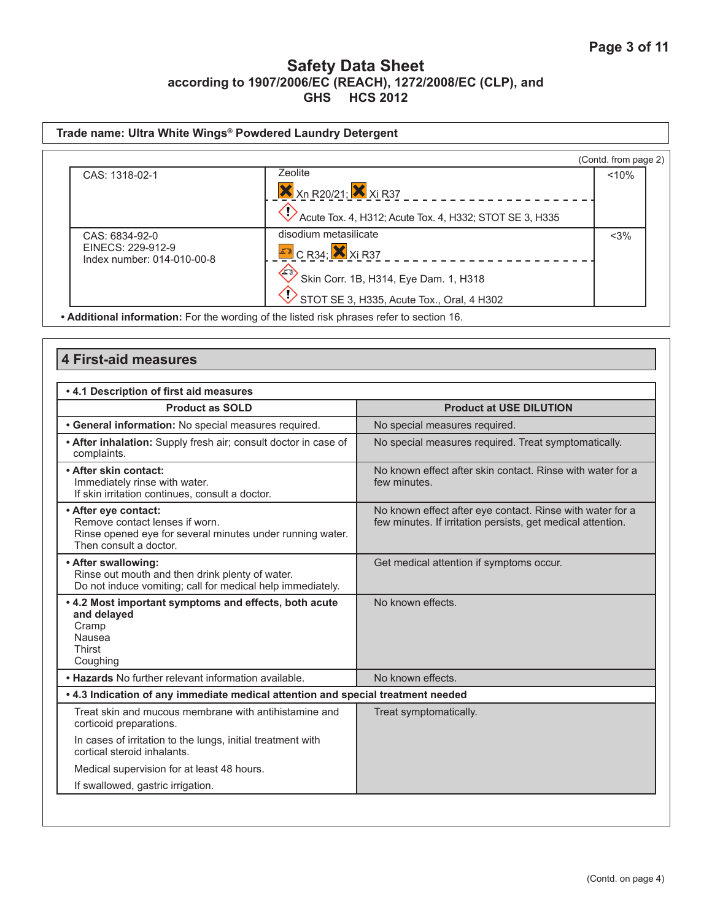| Trade name: Ultra White Wings® Powdered Laundry Detergent |                                                                                                                             |                      |
|-----------------------------------------------------------|-----------------------------------------------------------------------------------------------------------------------------|----------------------|
|                                                           |                                                                                                                             | (Contd. from page 2) |
| CAS: 1318-02-1                                            | Zeolite<br><b>X</b> Xn R20/21; X Xi R37                                                                                     | < 10%                |
| CAS: 6834-92-0<br>EINECS: 229-912-9                       | Acute Tox. 4, H312; Acute Tox. 4, H332; STOT SE 3, H335<br>disodium metasilicate<br>$E$ <sup>2</sup> C R34; $\times$ Xi R37 | $<$ 3%               |
| Index number: 014-010-00-8                                | Skin Corr. 1B, H314, Eye Dam. 1, H318<br>STOT SE 3, H335, Acute Tox., Oral, 4 H302                                          |                      |

# **4 First-aid measures**

| . 4.1 Description of first aid measures                                                                                                       |                                                                                                                          |  |
|-----------------------------------------------------------------------------------------------------------------------------------------------|--------------------------------------------------------------------------------------------------------------------------|--|
| <b>Product as SOLD</b>                                                                                                                        | <b>Product at USE DILUTION</b>                                                                                           |  |
| • General information: No special measures required.                                                                                          | No special measures required.                                                                                            |  |
| • After inhalation: Supply fresh air; consult doctor in case of<br>complaints.                                                                | No special measures required. Treat symptomatically.                                                                     |  |
| • After skin contact:<br>Immediately rinse with water.<br>If skin irritation continues, consult a doctor.                                     | No known effect after skin contact. Rinse with water for a<br>few minutes.                                               |  |
| • After eye contact:<br>Remove contact lenses if worn.<br>Rinse opened eye for several minutes under running water.<br>Then consult a doctor. | No known effect after eye contact. Rinse with water for a<br>few minutes. If irritation persists, get medical attention. |  |
| • After swallowing:<br>Rinse out mouth and then drink plenty of water.<br>Do not induce vomiting; call for medical help immediately.          | Get medical attention if symptoms occur.                                                                                 |  |
| . 4.2 Most important symptoms and effects, both acute<br>and delayed<br>Cramp<br>Nausea<br>Thirst<br>Coughing                                 | No known effects.                                                                                                        |  |
| . Hazards No further relevant information available.                                                                                          | No known effects.                                                                                                        |  |
| . 4.3 Indication of any immediate medical attention and special treatment needed                                                              |                                                                                                                          |  |
| Treat skin and mucous membrane with antihistamine and<br>corticoid preparations.                                                              | Treat symptomatically.                                                                                                   |  |
| In cases of irritation to the lungs, initial treatment with<br>cortical steroid inhalants.                                                    |                                                                                                                          |  |
| Medical supervision for at least 48 hours.                                                                                                    |                                                                                                                          |  |
| If swallowed, gastric irrigation.                                                                                                             |                                                                                                                          |  |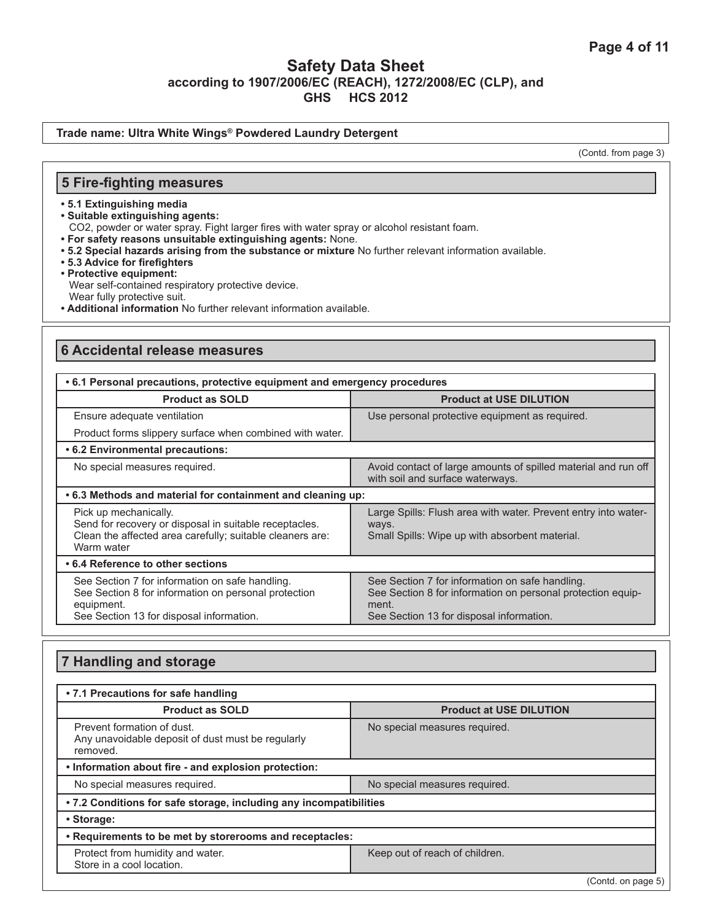#### **Trade name: Ultra White Wings® Powdered Laundry Detergent**

(Contd. from page 3)

### **5 Fire-fighting measures**

- **5.1 Extinguishing media**
- **Suitable extinguishing agents:**
- CO2, powder or water spray. Fight larger fires with water spray or alcohol resistant foam.
- **For safety reasons unsuitable extinguishing agents:** None.
- **5.2 Special hazards arising from the substance or mixture** No further relevant information available.
- **5.3 Advice for firefighters**
- **Protective equipment:** Wear self-contained respiratory protective device. Wear fully protective suit.
- **Additional information** No further relevant information available.

### **6 Accidental release measures**

| .6.1 Personal precautions, protective equipment and emergency procedures                                                                                          |                                                                                                                                                                     |  |
|-------------------------------------------------------------------------------------------------------------------------------------------------------------------|---------------------------------------------------------------------------------------------------------------------------------------------------------------------|--|
| <b>Product as SOLD</b>                                                                                                                                            | <b>Product at USE DILUTION</b>                                                                                                                                      |  |
| Ensure adequate ventilation                                                                                                                                       | Use personal protective equipment as required.                                                                                                                      |  |
| Product forms slippery surface when combined with water.                                                                                                          |                                                                                                                                                                     |  |
| • 6.2 Environmental precautions:                                                                                                                                  |                                                                                                                                                                     |  |
| No special measures required.                                                                                                                                     | Avoid contact of large amounts of spilled material and run off<br>with soil and surface waterways.                                                                  |  |
| .6.3 Methods and material for containment and cleaning up:                                                                                                        |                                                                                                                                                                     |  |
| Pick up mechanically.<br>Send for recovery or disposal in suitable receptacles.<br>Clean the affected area carefully; suitable cleaners are:<br>Warm water        | Large Spills: Flush area with water. Prevent entry into water-<br>ways.<br>Small Spills: Wipe up with absorbent material.                                           |  |
| • 6.4 Reference to other sections                                                                                                                                 |                                                                                                                                                                     |  |
| See Section 7 for information on safe handling.<br>See Section 8 for information on personal protection<br>equipment.<br>See Section 13 for disposal information. | See Section 7 for information on safe handling.<br>See Section 8 for information on personal protection equip-<br>ment.<br>See Section 13 for disposal information. |  |

## **7 Handling and storage**

| • 7.1 Precautions for safe handling                                                         |                                |  |
|---------------------------------------------------------------------------------------------|--------------------------------|--|
| <b>Product as SOLD</b>                                                                      | <b>Product at USE DILUTION</b> |  |
| Prevent formation of dust.<br>Any unavoidable deposit of dust must be regularly<br>removed. | No special measures required.  |  |
| . Information about fire - and explosion protection:                                        |                                |  |
| No special measures required.                                                               | No special measures required.  |  |
| .7.2 Conditions for safe storage, including any incompatibilities                           |                                |  |
| • Storage:                                                                                  |                                |  |
| • Requirements to be met by storerooms and receptacles:                                     |                                |  |
| Protect from humidity and water.<br>Store in a cool location.                               | Keep out of reach of children. |  |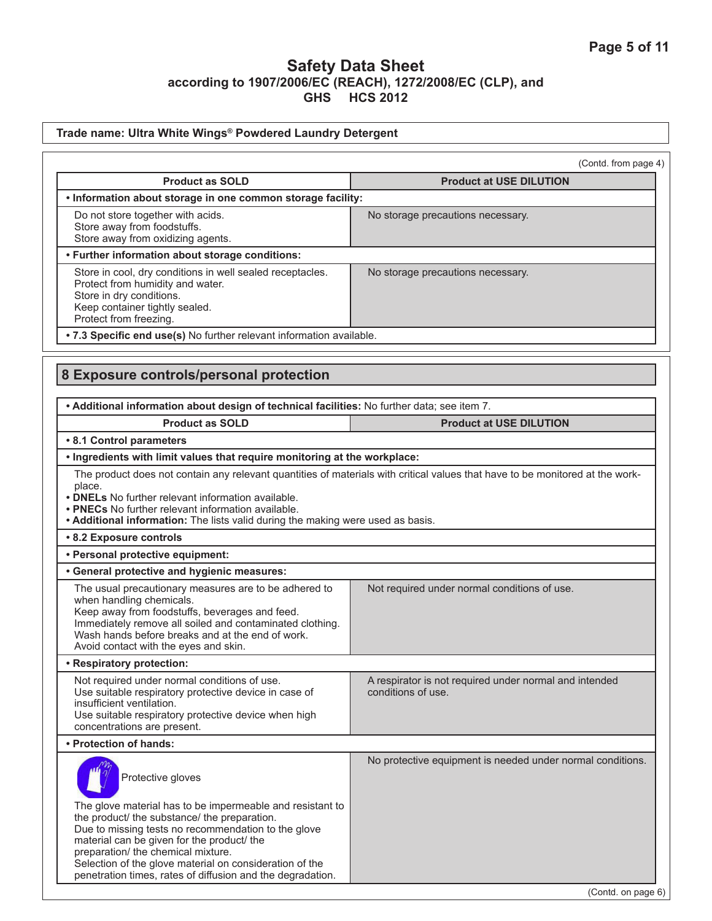| Trade name: Ultra White Wings® Powdered Laundry Detergent                                                                                                                                                                                                                                                                            |                                                                              |  |
|--------------------------------------------------------------------------------------------------------------------------------------------------------------------------------------------------------------------------------------------------------------------------------------------------------------------------------------|------------------------------------------------------------------------------|--|
|                                                                                                                                                                                                                                                                                                                                      | (Contd. from page 4)                                                         |  |
| <b>Product as SOLD</b>                                                                                                                                                                                                                                                                                                               | <b>Product at USE DILUTION</b>                                               |  |
| . Information about storage in one common storage facility:                                                                                                                                                                                                                                                                          |                                                                              |  |
| Do not store together with acids.<br>Store away from foodstuffs.<br>Store away from oxidizing agents.                                                                                                                                                                                                                                | No storage precautions necessary.                                            |  |
| • Further information about storage conditions:                                                                                                                                                                                                                                                                                      |                                                                              |  |
| Store in cool, dry conditions in well sealed receptacles.<br>Protect from humidity and water.<br>Store in dry conditions.<br>Keep container tightly sealed.<br>Protect from freezing.                                                                                                                                                | No storage precautions necessary.                                            |  |
| . 7.3 Specific end use(s) No further relevant information available.                                                                                                                                                                                                                                                                 |                                                                              |  |
| 8 Exposure controls/personal protection<br>. Additional information about design of technical facilities: No further data; see item 7.                                                                                                                                                                                               |                                                                              |  |
| <b>Product as SOLD</b>                                                                                                                                                                                                                                                                                                               | <b>Product at USE DILUTION</b>                                               |  |
| • 8.1 Control parameters                                                                                                                                                                                                                                                                                                             |                                                                              |  |
| . Ingredients with limit values that require monitoring at the workplace:                                                                                                                                                                                                                                                            |                                                                              |  |
| • <b>DNELs</b> No further relevant information available.<br>• PNECs No further relevant information available.<br>. Additional information: The lists valid during the making were used as basis.<br>• 8.2 Exposure controls                                                                                                        |                                                                              |  |
| · Personal protective equipment:                                                                                                                                                                                                                                                                                                     |                                                                              |  |
| • General protective and hygienic measures:                                                                                                                                                                                                                                                                                          |                                                                              |  |
| The usual precautionary measures are to be adhered to<br>when handling chemicals.<br>Keep away from foodstuffs, beverages and feed.<br>Immediately remove all soiled and contaminated clothing.<br>Wash hands before breaks and at the end of work.<br>Avoid contact with the eyes and skin.                                         | Not required under normal conditions of use.                                 |  |
| • Respiratory protection:                                                                                                                                                                                                                                                                                                            |                                                                              |  |
| Not required under normal conditions of use.<br>Use suitable respiratory protective device in case of<br>insufficient ventilation.<br>Use suitable respiratory protective device when high<br>concentrations are present.                                                                                                            | A respirator is not required under normal and intended<br>conditions of use. |  |
| • Protection of hands:                                                                                                                                                                                                                                                                                                               |                                                                              |  |
| Protective gloves<br>The glove material has to be impermeable and resistant to<br>the product/ the substance/ the preparation.<br>Due to missing tests no recommendation to the glove<br>material can be given for the product/ the<br>preparation/ the chemical mixture.<br>Selection of the glove material on consideration of the | No protective equipment is needed under normal conditions.                   |  |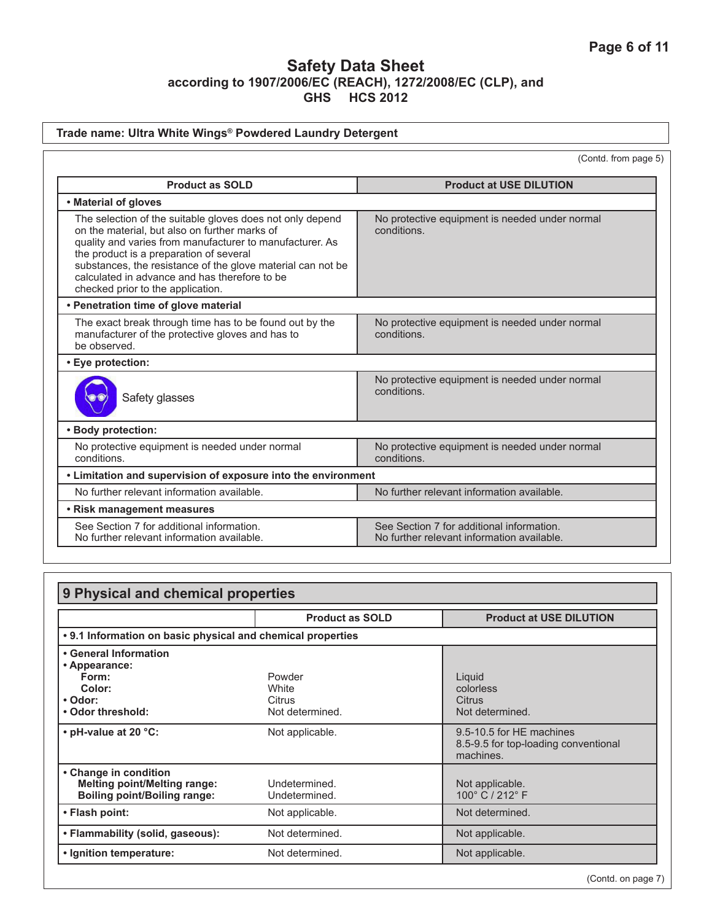## **Trade name: Ultra White Wings® Powdered Laundry Detergent**

(Contd. from page 5)

| <b>Product as SOLD</b>                                                                                                                                                                                                                                                                                                                                                 | <b>Product at USE DILUTION</b>                                                          |  |
|------------------------------------------------------------------------------------------------------------------------------------------------------------------------------------------------------------------------------------------------------------------------------------------------------------------------------------------------------------------------|-----------------------------------------------------------------------------------------|--|
| • Material of gloves                                                                                                                                                                                                                                                                                                                                                   |                                                                                         |  |
| The selection of the suitable gloves does not only depend<br>on the material, but also on further marks of<br>quality and varies from manufacturer to manufacturer. As<br>the product is a preparation of several<br>substances, the resistance of the glove material can not be<br>calculated in advance and has therefore to be<br>checked prior to the application. | No protective equipment is needed under normal<br>conditions.                           |  |
| • Penetration time of glove material                                                                                                                                                                                                                                                                                                                                   |                                                                                         |  |
| The exact break through time has to be found out by the<br>manufacturer of the protective gloves and has to<br>be observed.                                                                                                                                                                                                                                            | No protective equipment is needed under normal<br>conditions.                           |  |
| • Eye protection:                                                                                                                                                                                                                                                                                                                                                      |                                                                                         |  |
| Safety glasses                                                                                                                                                                                                                                                                                                                                                         | No protective equipment is needed under normal<br>conditions.                           |  |
| • Body protection:                                                                                                                                                                                                                                                                                                                                                     |                                                                                         |  |
| No protective equipment is needed under normal<br>conditions.                                                                                                                                                                                                                                                                                                          | No protective equipment is needed under normal<br>conditions.                           |  |
| • Limitation and supervision of exposure into the environment                                                                                                                                                                                                                                                                                                          |                                                                                         |  |
| No further relevant information available.                                                                                                                                                                                                                                                                                                                             | No further relevant information available.                                              |  |
| • Risk management measures                                                                                                                                                                                                                                                                                                                                             |                                                                                         |  |
| See Section 7 for additional information.<br>No further relevant information available.                                                                                                                                                                                                                                                                                | See Section 7 for additional information.<br>No further relevant information available. |  |

| 9 Physical and chemical properties                                                                  |                                              |                                                                               |
|-----------------------------------------------------------------------------------------------------|----------------------------------------------|-------------------------------------------------------------------------------|
|                                                                                                     | <b>Product as SOLD</b>                       | <b>Product at USE DILUTION</b>                                                |
| • 9.1 Information on basic physical and chemical properties                                         |                                              |                                                                               |
| • General Information<br>• Appearance:<br>Form:<br>Color:<br>• Odor:<br>• Odor threshold:           | Powder<br>White<br>Citrus<br>Not determined. | Liquid<br>colorless<br>Citrus<br>Not determined.                              |
| • pH-value at 20 $°C$ :                                                                             | Not applicable.                              | 9.5-10.5 for HE machines<br>8.5-9.5 for top-loading conventional<br>machines. |
| • Change in condition<br><b>Melting point/Melting range:</b><br><b>Boiling point/Boiling range:</b> | Undetermined.<br>Undetermined.               | Not applicable.<br>100° C / 212° F                                            |
| • Flash point:                                                                                      | Not applicable.                              | Not determined.                                                               |
| • Flammability (solid, gaseous):                                                                    | Not determined.                              | Not applicable.                                                               |
| • Ignition temperature:                                                                             | Not determined.                              | Not applicable.                                                               |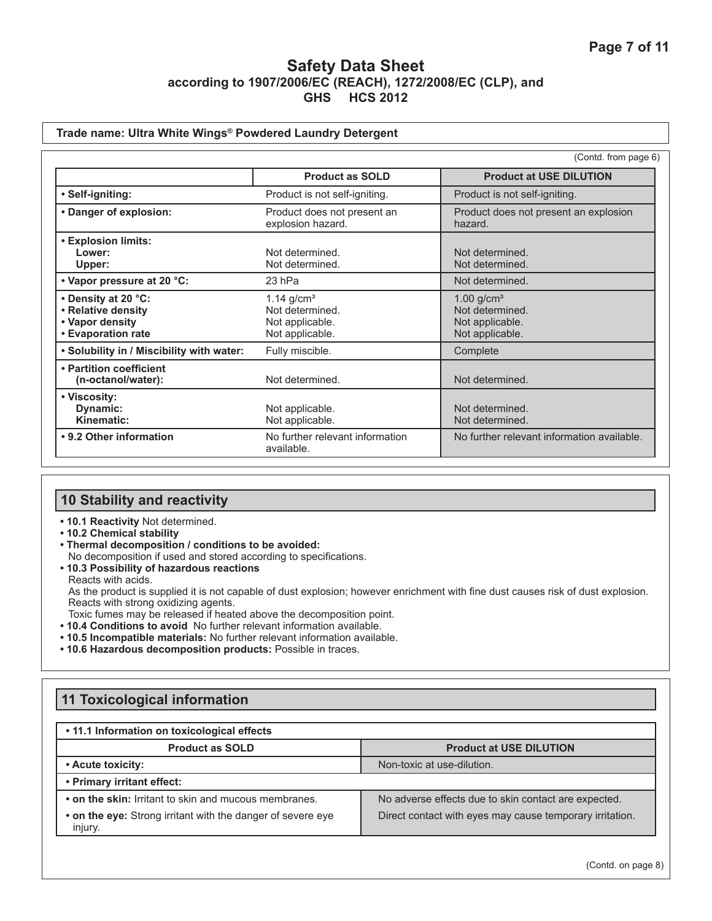### **Trade name: Ultra White Wings® Powdered Laundry Detergent**

|                                                                                    |                                                                                   | (Contd. from page 6)                                                              |
|------------------------------------------------------------------------------------|-----------------------------------------------------------------------------------|-----------------------------------------------------------------------------------|
|                                                                                    | <b>Product as SOLD</b>                                                            | <b>Product at USE DILUTION</b>                                                    |
| • Self-igniting:                                                                   | Product is not self-igniting.                                                     | Product is not self-igniting.                                                     |
| • Danger of explosion:                                                             | Product does not present an<br>explosion hazard.                                  | Product does not present an explosion<br>hazard.                                  |
| • Explosion limits:<br>Lower:<br>Upper:                                            | Not determined.<br>Not determined.                                                | Not determined.<br>Not determined.                                                |
| • Vapor pressure at 20 °C:                                                         | 23 hPa                                                                            | Not determined.                                                                   |
| • Density at 20 °C:<br>• Relative density<br>• Vapor density<br>• Evaporation rate | $1.14$ g/cm <sup>3</sup><br>Not determined.<br>Not applicable.<br>Not applicable. | $1.00$ g/cm <sup>3</sup><br>Not determined.<br>Not applicable.<br>Not applicable. |
| . Solubility in / Miscibility with water:                                          | Fully miscible.                                                                   | Complete                                                                          |
| • Partition coefficient<br>(n-octanol/water):                                      | Not determined.                                                                   | Not determined.                                                                   |
| • Viscosity:<br>Dynamic:<br>Kinematic:                                             | Not applicable.<br>Not applicable.                                                | Not determined.<br>Not determined.                                                |
| • 9.2 Other information                                                            | No further relevant information<br>available.                                     | No further relevant information available.                                        |

## **10 Stability and reactivity**

- **10.1 Reactivity** Not determined.
- **10.2 Chemical stability**
- **Thermal decomposition / conditions to be avoided:** No decomposition if used and stored according to specifications.
- **10.3 Possibility of hazardous reactions** Reacts with acids. As the product is supplied it is not capable of dust explosion; however enrichment with fine dust causes risk of dust explosion. Reacts with strong oxidizing agents. Toxic fumes may be released if heated above the decomposition point.
- **10.4 Conditions to avoid** No further relevant information available.
- **10.5 Incompatible materials:** No further relevant information available.
- **10.6 Hazardous decomposition products:** Possible in traces.

# **11 Toxicological information**

### **• 11.1 Information on toxicological effects**

| <b>Product as SOLD</b>                                                 | <b>Product at USE DILUTION</b>                           |
|------------------------------------------------------------------------|----------------------------------------------------------|
| • Acute toxicity:                                                      | Non-toxic at use-dilution.                               |
| • Primary irritant effect:                                             |                                                          |
| • on the skin: Irritant to skin and mucous membranes.                  | No adverse effects due to skin contact are expected.     |
| • on the eye: Strong irritant with the danger of severe eye<br>injury. | Direct contact with eyes may cause temporary irritation. |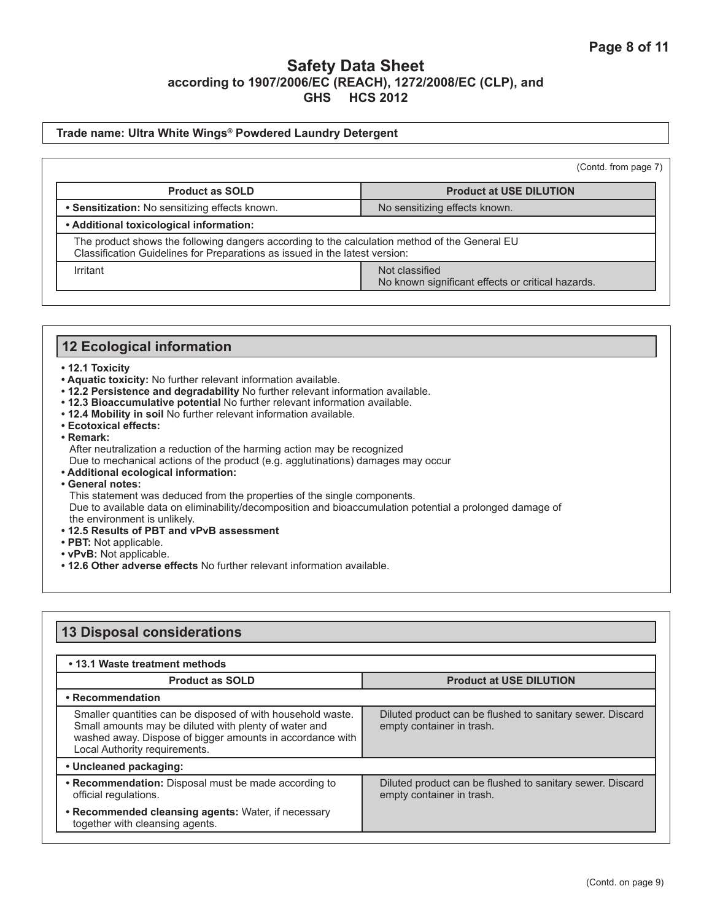#### **Trade name: Ultra White Wings® Powdered Laundry Detergent**

|                                                                                                                                                                              | (Contd. from page 7)                                                |  |
|------------------------------------------------------------------------------------------------------------------------------------------------------------------------------|---------------------------------------------------------------------|--|
| <b>Product as SOLD</b>                                                                                                                                                       | <b>Product at USE DILUTION</b>                                      |  |
| • Sensitization: No sensitizing effects known.                                                                                                                               | No sensitizing effects known.                                       |  |
| • Additional toxicological information:                                                                                                                                      |                                                                     |  |
| The product shows the following dangers according to the calculation method of the General EU<br>Classification Guidelines for Preparations as issued in the latest version: |                                                                     |  |
| Irritant                                                                                                                                                                     | Not classified<br>No known significant effects or critical hazards. |  |

### **12 Ecological information**

#### **• 12.1 Toxicity**

- **Aquatic toxicity:** No further relevant information available.
- **12.2 Persistence and degradability** No further relevant information available.
- **12.3 Bioaccumulative potential** No further relevant information available.
- **12.4 Mobility in soil** No further relevant information available.
- **Ecotoxical effects:**
- **Remark:**

After neutralization a reduction of the harming action may be recognized

Due to mechanical actions of the product (e.g. agglutinations) damages may occur

- **Additional ecological information:**
- **General notes:**

This statement was deduced from the properties of the single components.

Due to available data on eliminability/decomposition and bioaccumulation potential a prolonged damage of the environment is unlikely.

- **12.5 Results of PBT and vPvB assessment**
- **PBT:** Not applicable.
- **vPvB:** Not applicable.
- **12.6 Other adverse effects** No further relevant information available.

#### **13 Disposal considerations • 13.1 Waste treatment methods Product as SOLD Product at USE DILUTION • Recommendation** Smaller quantities can be disposed of with household waste. Small amounts may be diluted with plenty of water and washed away. Dispose of bigger amounts in accordance with Local Authority requirements. Diluted product can be flushed to sanitary sewer. Discard empty container in trash. **• Uncleaned packaging: • Recommendation:** Disposal must be made according to official regulations. Diluted product can be flushed to sanitary sewer. Discard empty container in trash. **• Recommended cleansing agents:** Water, if necessary together with cleansing agents.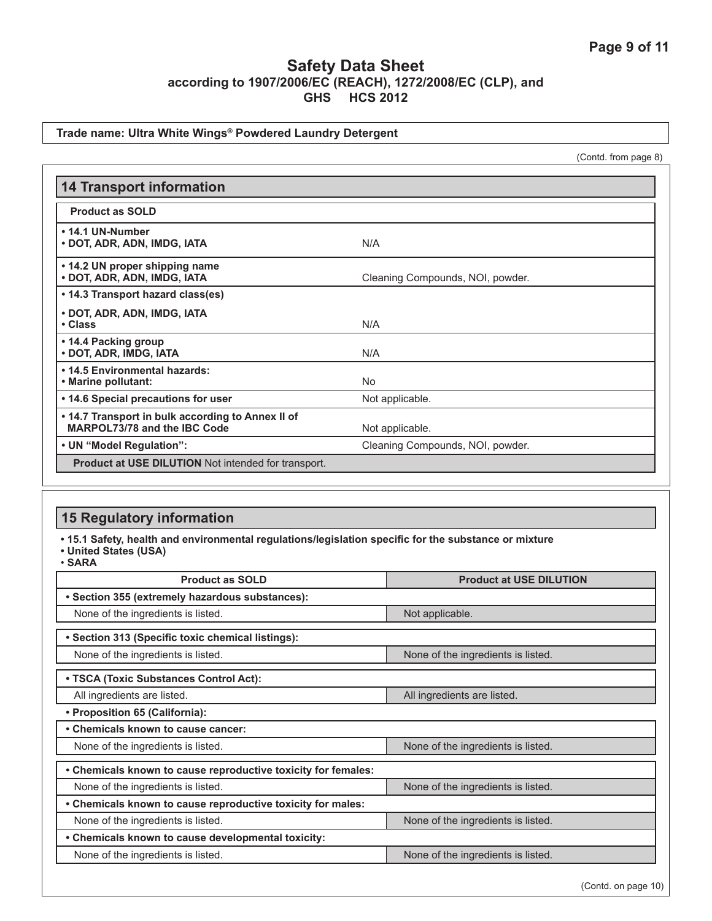### **Trade name: Ultra White Wings® Powdered Laundry Detergent**

(Contd. from page 8)

| <b>14 Transport information</b>                                                   |                                  |
|-----------------------------------------------------------------------------------|----------------------------------|
| <b>Product as SOLD</b>                                                            |                                  |
| • 14.1 UN-Number<br>• DOT, ADR, ADN, IMDG, IATA                                   | N/A                              |
| • 14.2 UN proper shipping name<br>• DOT, ADR, ADN, IMDG, IATA                     | Cleaning Compounds, NOI, powder. |
| • 14.3 Transport hazard class(es)                                                 |                                  |
| • DOT, ADR, ADN, IMDG, IATA<br>• Class                                            | N/A                              |
| • 14.4 Packing group<br>• DOT, ADR, IMDG, IATA                                    | N/A                              |
| • 14.5 Environmental hazards:<br>• Marine pollutant:                              | <b>No</b>                        |
| • 14.6 Special precautions for user                                               | Not applicable.                  |
| • 14.7 Transport in bulk according to Annex II of<br>MARPOL73/78 and the IBC Code | Not applicable.                  |
| • UN "Model Regulation":                                                          | Cleaning Compounds, NOI, powder. |
| Product at USE DILUTION Not intended for transport.                               |                                  |

## **15 Regulatory information**

**• 15.1 Safety, health and environmental regulations/legislation specific for the substance or mixture**

**• United States (USA)**

• **SARA**

| <b>Product as SOLD</b>                                        | <b>Product at USE DILUTION</b>     |  |  |  |
|---------------------------------------------------------------|------------------------------------|--|--|--|
| • Section 355 (extremely hazardous substances):               |                                    |  |  |  |
| None of the ingredients is listed.                            | Not applicable.                    |  |  |  |
| • Section 313 (Specific toxic chemical listings):             |                                    |  |  |  |
| None of the ingredients is listed.                            | None of the ingredients is listed. |  |  |  |
| • TSCA (Toxic Substances Control Act):                        |                                    |  |  |  |
| All ingredients are listed.                                   | All ingredients are listed.        |  |  |  |
| • Proposition 65 (California):                                |                                    |  |  |  |
| • Chemicals known to cause cancer:                            |                                    |  |  |  |
| None of the ingredients is listed.                            | None of the ingredients is listed. |  |  |  |
| • Chemicals known to cause reproductive toxicity for females: |                                    |  |  |  |
| None of the ingredients is listed.                            | None of the ingredients is listed. |  |  |  |
| • Chemicals known to cause reproductive toxicity for males:   |                                    |  |  |  |
| None of the ingredients is listed.                            | None of the ingredients is listed. |  |  |  |
| • Chemicals known to cause developmental toxicity:            |                                    |  |  |  |
| None of the ingredients is listed.                            | None of the ingredients is listed. |  |  |  |

(Contd. on page 10)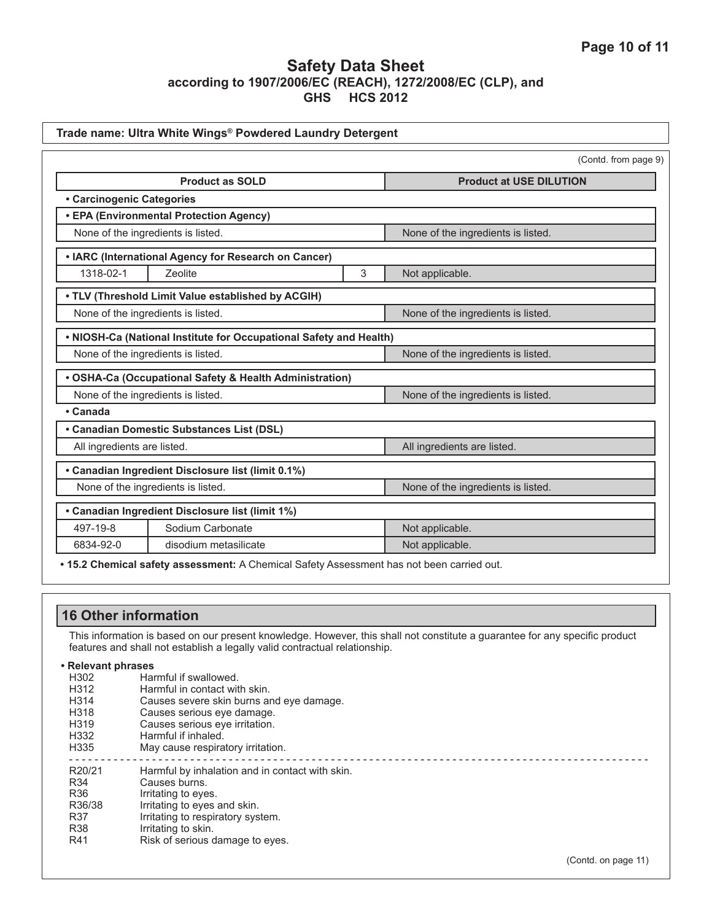|                             |                                                                    |   | (Contd. from page 9)               |
|-----------------------------|--------------------------------------------------------------------|---|------------------------------------|
|                             | <b>Product as SOLD</b>                                             |   | <b>Product at USE DILUTION</b>     |
| • Carcinogenic Categories   |                                                                    |   |                                    |
|                             | • EPA (Environmental Protection Agency)                            |   |                                    |
|                             | None of the ingredients is listed.                                 |   | None of the ingredients is listed. |
|                             | • IARC (International Agency for Research on Cancer)               |   |                                    |
| 1318-02-1                   | Zeolite                                                            | 3 | Not applicable.                    |
|                             | . TLV (Threshold Limit Value established by ACGIH)                 |   |                                    |
|                             | None of the ingredients is listed.                                 |   | None of the ingredients is listed. |
|                             | . NIOSH-Ca (National Institute for Occupational Safety and Health) |   |                                    |
|                             | None of the ingredients is listed.                                 |   | None of the ingredients is listed. |
|                             | • OSHA-Ca (Occupational Safety & Health Administration)            |   |                                    |
|                             | None of the ingredients is listed.                                 |   | None of the ingredients is listed. |
| • Canada                    |                                                                    |   |                                    |
|                             | • Canadian Domestic Substances List (DSL)                          |   |                                    |
| All ingredients are listed. |                                                                    |   | All ingredients are listed.        |
|                             | • Canadian Ingredient Disclosure list (limit 0.1%)                 |   |                                    |
|                             | None of the ingredients is listed.                                 |   | None of the ingredients is listed. |
|                             | • Canadian Ingredient Disclosure list (limit 1%)                   |   |                                    |
| 497-19-8                    | Sodium Carbonate                                                   |   | Not applicable.                    |
| 6834-92-0                   | disodium metasilicate                                              |   | Not applicable.                    |

|                                                                                                                                                                                                           | <b>16 Other information</b>                                                                                                                                                                                                    |  |  |  |
|-----------------------------------------------------------------------------------------------------------------------------------------------------------------------------------------------------------|--------------------------------------------------------------------------------------------------------------------------------------------------------------------------------------------------------------------------------|--|--|--|
| This information is based on our present knowledge. However, this shall not constitute a guarantee for any specific product<br>features and shall not establish a legally valid contractual relationship. |                                                                                                                                                                                                                                |  |  |  |
| • Relevant phrases<br>H302<br>H312<br>H314<br>H318<br>H319<br>H332<br>H335                                                                                                                                | Harmful if swallowed.<br>Harmful in contact with skin.<br>Causes severe skin burns and eye damage.<br>Causes serious eye damage.<br>Causes serious eye irritation.<br>Harmful if inhaled.<br>May cause respiratory irritation. |  |  |  |
| R20/21<br>R34<br>R <sub>36</sub><br>R36/38<br>R37<br>R38<br>R41                                                                                                                                           | Harmful by inhalation and in contact with skin.<br>Causes burns.<br>Irritating to eyes.<br>Irritating to eyes and skin.<br>Irritating to respiratory system.<br>Irritating to skin.<br>Risk of serious damage to eyes.         |  |  |  |
|                                                                                                                                                                                                           | (Contd. on page 11)                                                                                                                                                                                                            |  |  |  |